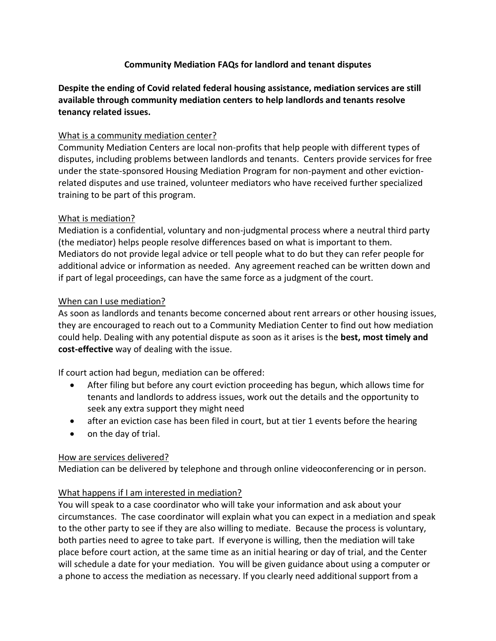### **Community Mediation FAQs for landlord and tenant disputes**

**Despite the ending of Covid related federal housing assistance, mediation services are still available through community mediation centers to help landlords and tenants resolve tenancy related issues.**

#### What is a community mediation center?

Community Mediation Centers are local non-profits that help people with different types of disputes, including problems between landlords and tenants. Centers provide services for free under the state-sponsored Housing Mediation Program for non-payment and other evictionrelated disputes and use trained, volunteer mediators who have received further specialized training to be part of this program.

## What is mediation?

Mediation is a confidential, voluntary and non-judgmental process where a neutral third party (the mediator) helps people resolve differences based on what is important to them. Mediators do not provide legal advice or tell people what to do but they can refer people for additional advice or information as needed. Any agreement reached can be written down and if part of legal proceedings, can have the same force as a judgment of the court.

## When can I use mediation?

As soon as landlords and tenants become concerned about rent arrears or other housing issues, they are encouraged to reach out to a Community Mediation Center to find out how mediation could help. Dealing with any potential dispute as soon as it arises is the **best, most timely and cost-effective** way of dealing with the issue.

If court action had begun, mediation can be offered:

- After filing but before any court eviction proceeding has begun, which allows time for tenants and landlords to address issues, work out the details and the opportunity to seek any extra support they might need
- after an eviction case has been filed in court, but at tier 1 events before the hearing
- on the day of trial.

#### How are services delivered?

Mediation can be delivered by telephone and through online videoconferencing or in person.

# What happens if I am interested in mediation?

You will speak to a case coordinator who will take your information and ask about your circumstances. The case coordinator will explain what you can expect in a mediation and speak to the other party to see if they are also willing to mediate. Because the process is voluntary, both parties need to agree to take part. If everyone is willing, then the mediation will take place before court action, at the same time as an initial hearing or day of trial, and the Center will schedule a date for your mediation. You will be given guidance about using a computer or a phone to access the mediation as necessary. If you clearly need additional support from a